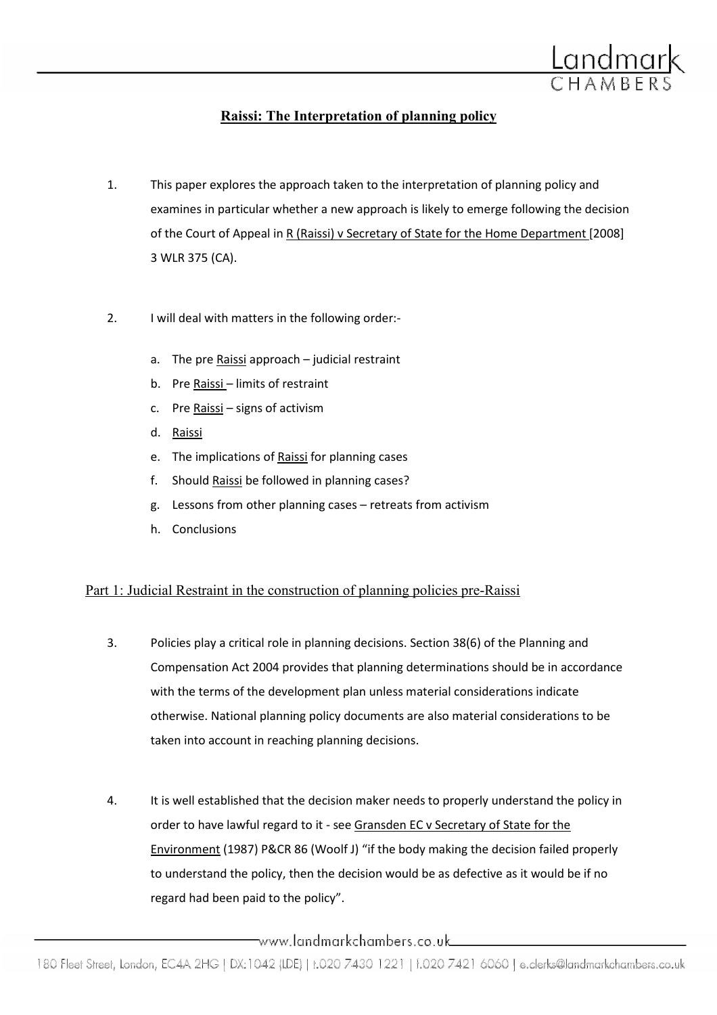

# Raissi: The Interpretation of planning policy

- 1. This paper explores the approach taken to the interpretation of planning policy and examines in particular whether a new approach is likely to emerge following the decision of the Court of Appeal in R (Raissi) v Secretary of State for the Home Department [2008] 3 WLR 375 (CA).
- 2. I will deal with matters in the following order:
	- a. The pre Raissi approach judicial restraint
	- b. Pre Raissi limits of restraint
	- c. Pre Raissi signs of activism
	- d. Raissi
	- e. The implications of Raissi for planning cases
	- f. Should Raissi be followed in planning cases?
	- g. Lessons from other planning cases retreats from activism
	- h. Conclusions

## Part 1: Judicial Restraint in the construction of planning policies pre-Raissi

- 3. Policies play a critical role in planning decisions. Section 38(6) of the Planning and Compensation Act 2004 provides that planning determinations should be in accordance with the terms of the development plan unless material considerations indicate otherwise. National planning policy documents are also material considerations to be taken into account in reaching planning decisions.
- 4. It is well established that the decision maker needs to properly understand the policy in order to have lawful regard to it - see Gransden EC v Secretary of State for the Environment (1987) P&CR 86 (Woolf J) "if the body making the decision failed properly to understand the policy, then the decision would be as defective as it would be if no regard had been paid to the policy".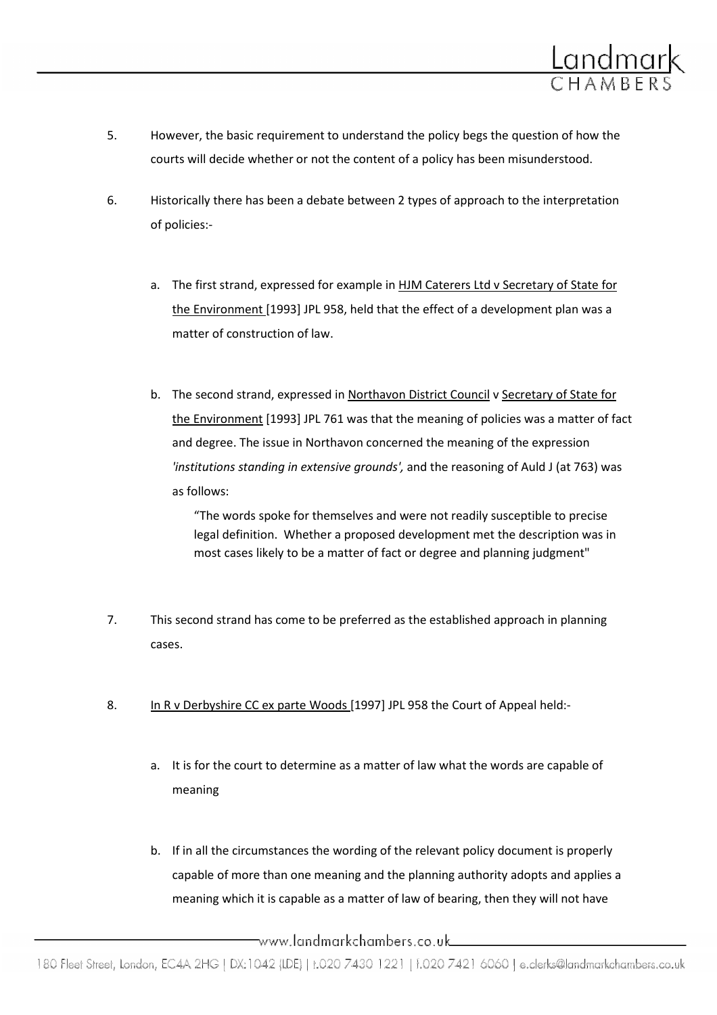

- 5. However, the basic requirement to understand the policy begs the question of how the courts will decide whether or not the content of a policy has been misunderstood.
- 6. Historically there has been a debate between 2 types of approach to the interpretation of policies:
	- a. The first strand, expressed for example in HJM Caterers Ltd v Secretary of State for the Environment [1993] JPL 958, held that the effect of a development plan was a matter of construction of law.
	- b. The second strand, expressed in Northavon District Council v Secretary of State for the Environment [1993] JPL 761 was that the meaning of policies was a matter of fact and degree. The issue in Northavon concerned the meaning of the expression 'institutions standing in extensive grounds', and the reasoning of Auld J (at 763) was as follows:

"The words spoke for themselves and were not readily susceptible to precise legal definition. Whether a proposed development met the description was in most cases likely to be a matter of fact or degree and planning judgment"

- 7. This second strand has come to be preferred as the established approach in planning cases.
- 8. In R v Derbyshire CC ex parte Woods [1997] JPL 958 the Court of Appeal held:
	- a. It is for the court to determine as a matter of law what the words are capable of meaning
	- b. If in all the circumstances the wording of the relevant policy document is properly capable of more than one meaning and the planning authority adopts and applies a meaning which it is capable as a matter of law of bearing, then they will not have

\_www.landmarkchambers.co.uk\_\_\_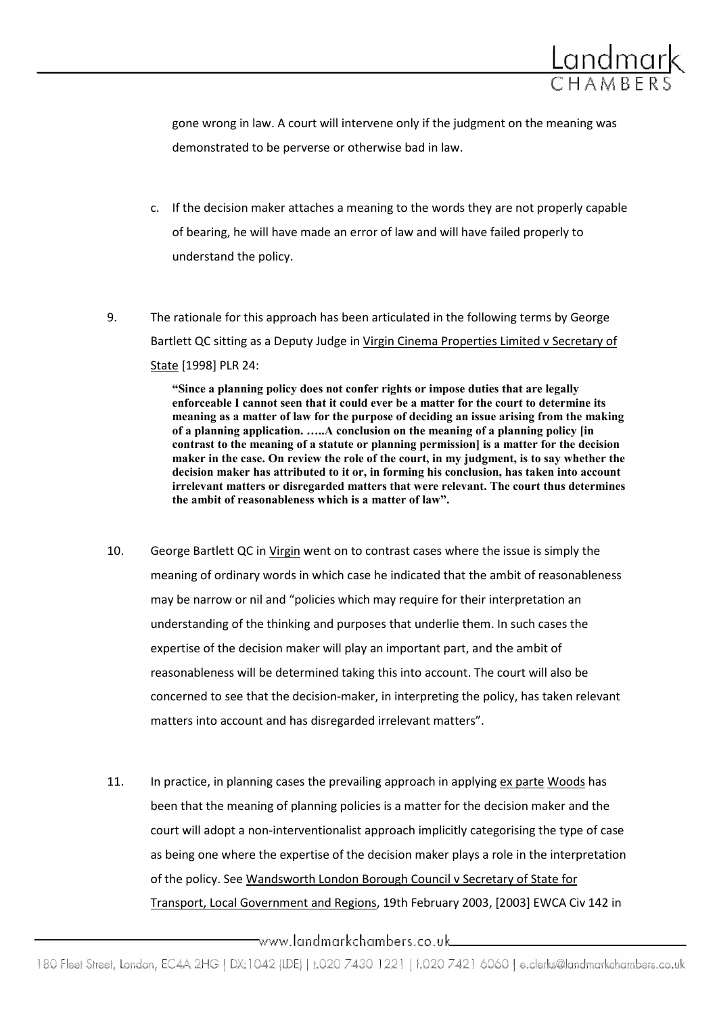

gone wrong in law. A court will intervene only if the judgment on the meaning was demonstrated to be perverse or otherwise bad in law.

- c. If the decision maker attaches a meaning to the words they are not properly capable of bearing, he will have made an error of law and will have failed properly to understand the policy.
- 9. The rationale for this approach has been articulated in the following terms by George Bartlett QC sitting as a Deputy Judge in Virgin Cinema Properties Limited v Secretary of State [1998] PLR 24:

"Since a planning policy does not confer rights or impose duties that are legally enforceable I cannot seen that it could ever be a matter for the court to determine its meaning as a matter of law for the purpose of deciding an issue arising from the making of a planning application. …..A conclusion on the meaning of a planning policy [in contrast to the meaning of a statute or planning permission] is a matter for the decision maker in the case. On review the role of the court, in my judgment, is to say whether the decision maker has attributed to it or, in forming his conclusion, has taken into account irrelevant matters or disregarded matters that were relevant. The court thus determines the ambit of reasonableness which is a matter of law".

- 10. George Bartlett QC in Virgin went on to contrast cases where the issue is simply the meaning of ordinary words in which case he indicated that the ambit of reasonableness may be narrow or nil and "policies which may require for their interpretation an understanding of the thinking and purposes that underlie them. In such cases the expertise of the decision maker will play an important part, and the ambit of reasonableness will be determined taking this into account. The court will also be concerned to see that the decision-maker, in interpreting the policy, has taken relevant matters into account and has disregarded irrelevant matters".
- 11. In practice, in planning cases the prevailing approach in applying ex parte Woods has been that the meaning of planning policies is a matter for the decision maker and the court will adopt a non-interventionalist approach implicitly categorising the type of case as being one where the expertise of the decision maker plays a role in the interpretation of the policy. See Wandsworth London Borough Council v Secretary of State for Transport, Local Government and Regions, 19th February 2003, [2003] EWCA Civ 142 in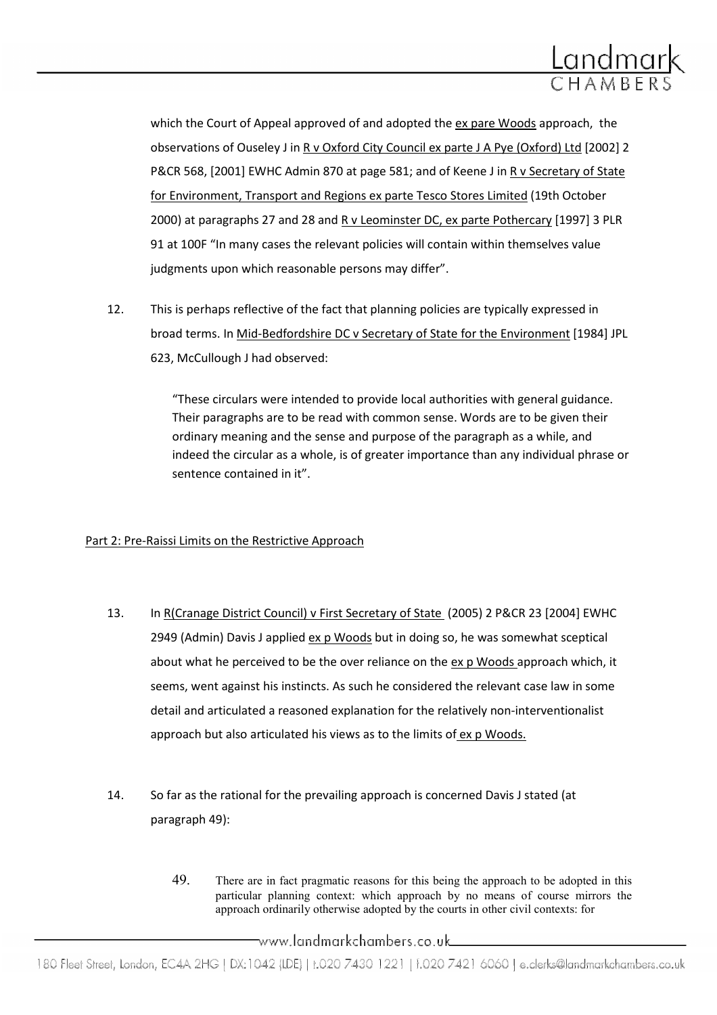

which the Court of Appeal approved of and adopted the ex pare Woods approach, the observations of Ouseley J in R v Oxford City Council ex parte J A Pye (Oxford) Ltd [2002] 2 P&CR 568, [2001] EWHC Admin 870 at page 581; and of Keene J in R v Secretary of State for Environment, Transport and Regions ex parte Tesco Stores Limited (19th October 2000) at paragraphs 27 and 28 and R v Leominster DC, ex parte Pothercary [1997] 3 PLR 91 at 100F "In many cases the relevant policies will contain within themselves value judgments upon which reasonable persons may differ".

12. This is perhaps reflective of the fact that planning policies are typically expressed in broad terms. In Mid-Bedfordshire DC v Secretary of State for the Environment [1984] JPL 623, McCullough J had observed:

> "These circulars were intended to provide local authorities with general guidance. Their paragraphs are to be read with common sense. Words are to be given their ordinary meaning and the sense and purpose of the paragraph as a while, and indeed the circular as a whole, is of greater importance than any individual phrase or sentence contained in it".

### Part 2: Pre-Raissi Limits on the Restrictive Approach

- 13. In R(Cranage District Council) v First Secretary of State (2005) 2 P&CR 23 [2004] EWHC 2949 (Admin) Davis J applied ex p Woods but in doing so, he was somewhat sceptical about what he perceived to be the over reliance on the ex p Woods approach which, it seems, went against his instincts. As such he considered the relevant case law in some detail and articulated a reasoned explanation for the relatively non-interventionalist approach but also articulated his views as to the limits of ex p Woods.
- 14. So far as the rational for the prevailing approach is concerned Davis J stated (at paragraph 49):
	- 49. There are in fact pragmatic reasons for this being the approach to be adopted in this particular planning context: which approach by no means of course mirrors the approach ordinarily otherwise adopted by the courts in other civil contexts: for

\_www.landmarkchambers.co.uk\_\_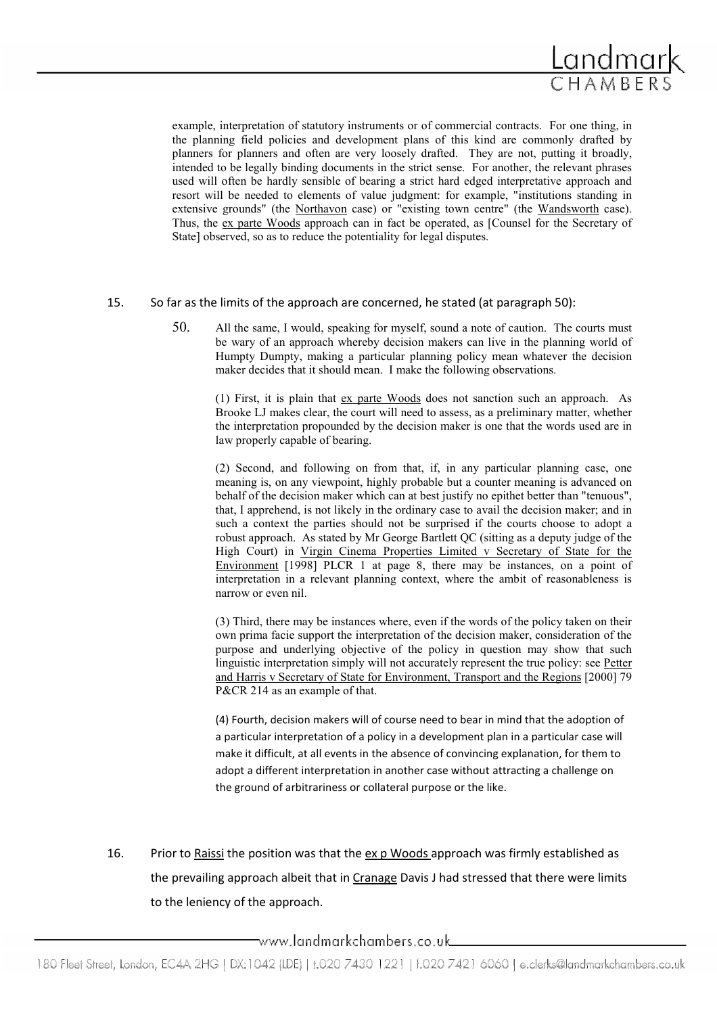

example, interpretation of statutory instruments or of commercial contracts. For one thing, in the planning field policies and development plans of this kind are commonly drafted by planners for planners and often are very loosely drafted. They are not, putting it broadly, intended to be legally binding documents in the strict sense. For another, the relevant phrases used will often be hardly sensible of bearing a strict hard edged interpretative approach and resort will be needed to elements of value judgment: for example, "institutions standing in extensive grounds" (the Northavon case) or "existing town centre" (the Wandsworth case). Thus, the ex parte Woods approach can in fact be operated, as [Counsel for the Secretary of State] observed, so as to reduce the potentiality for legal disputes.

#### 15. So far as the limits of the approach are concerned, he stated (at paragraph 50):

50. All the same, I would, speaking for myself, sound a note of caution. The courts must be wary of an approach whereby decision makers can live in the planning world of Humpty Dumpty, making a particular planning policy mean whatever the decision maker decides that it should mean. I make the following observations.

(1) First, it is plain that ex parte Woods does not sanction such an approach. As Brooke LJ makes clear, the court will need to assess, as a preliminary matter, whether the interpretation propounded by the decision maker is one that the words used are in law properly capable of bearing.

(2) Second, and following on from that, if, in any particular planning case, one meaning is, on any viewpoint, highly probable but a counter meaning is advanced on behalf of the decision maker which can at best justify no epithet better than "tenuous", that, I apprehend, is not likely in the ordinary case to avail the decision maker; and in such a context the parties should not be surprised if the courts choose to adopt a robust approach. As stated by Mr George Bartlett QC (sitting as a deputy judge of the High Court) in Virgin Cinema Properties Limited v Secretary of State for the Environment [1998] PLCR 1 at page 8, there may be instances, on a point of interpretation in a relevant planning context, where the ambit of reasonableness is narrow or even nil.

(3) Third, there may be instances where, even if the words of the policy taken on their own prima facie support the interpretation of the decision maker, consideration of the purpose and underlying objective of the policy in question may show that such linguistic interpretation simply will not accurately represent the true policy: see Petter and Harris v Secretary of State for Environment, Transport and the Regions [2000] 79 P&CR 214 as an example of that.

(4) Fourth, decision makers will of course need to bear in mind that the adoption of a particular interpretation of a policy in a development plan in a particular case will make it difficult, at all events in the absence of convincing explanation, for them to adopt a different interpretation in another case without attracting a challenge on the ground of arbitrariness or collateral purpose or the like.

16. Prior to Raissi the position was that the ex p Woods approach was firmly established as the prevailing approach albeit that in Cranage Davis J had stressed that there were limits to the leniency of the approach.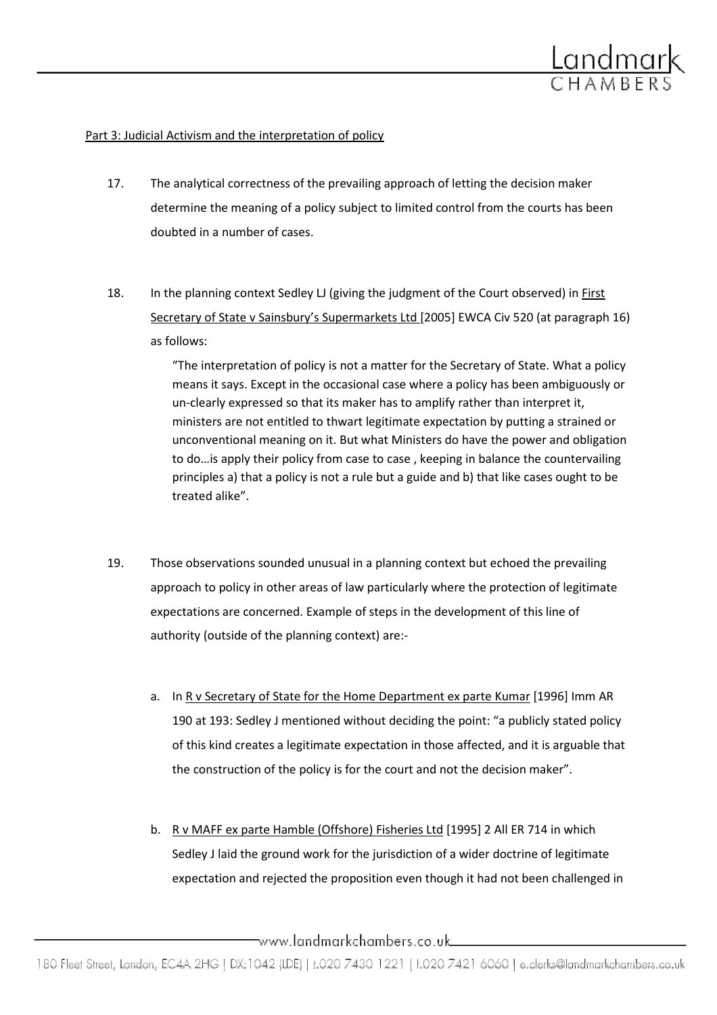

#### Part 3: Judicial Activism and the interpretation of policy

- 17. The analytical correctness of the prevailing approach of letting the decision maker determine the meaning of a policy subject to limited control from the courts has been doubted in a number of cases.
- 18. In the planning context Sedley LJ (giving the judgment of the Court observed) in First Secretary of State v Sainsbury's Supermarkets Ltd [2005] EWCA Civ 520 (at paragraph 16) as follows:

"The interpretation of policy is not a matter for the Secretary of State. What a policy means it says. Except in the occasional case where a policy has been ambiguously or un-clearly expressed so that its maker has to amplify rather than interpret it, ministers are not entitled to thwart legitimate expectation by putting a strained or unconventional meaning on it. But what Ministers do have the power and obligation to do…is apply their policy from case to case , keeping in balance the countervailing principles a) that a policy is not a rule but a guide and b) that like cases ought to be treated alike".

- 19. Those observations sounded unusual in a planning context but echoed the prevailing approach to policy in other areas of law particularly where the protection of legitimate expectations are concerned. Example of steps in the development of this line of authority (outside of the planning context) are:
	- a. In R v Secretary of State for the Home Department ex parte Kumar [1996] Imm AR 190 at 193: Sedley J mentioned without deciding the point: "a publicly stated policy of this kind creates a legitimate expectation in those affected, and it is arguable that the construction of the policy is for the court and not the decision maker".
	- b. R v MAFF ex parte Hamble (Offshore) Fisheries Ltd [1995] 2 All ER 714 in which Sedley J laid the ground work for the jurisdiction of a wider doctrine of legitimate expectation and rejected the proposition even though it had not been challenged in

www.landmarkchambers.co.uk\_\_\_\_\_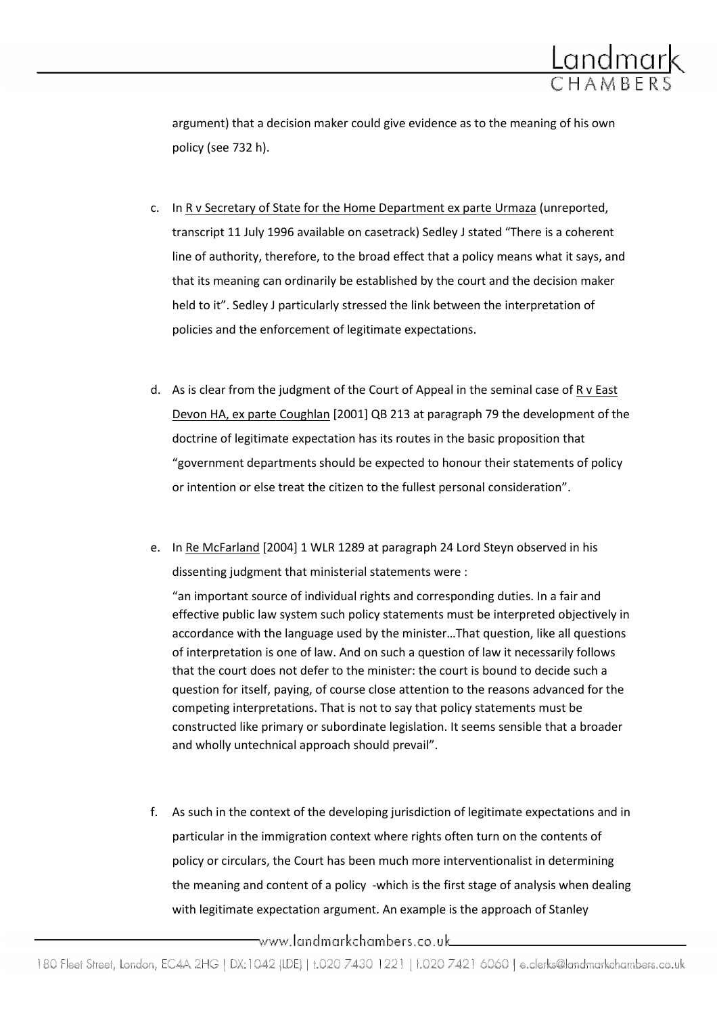

argument) that a decision maker could give evidence as to the meaning of his own policy (see 732 h).

- c. In R v Secretary of State for the Home Department ex parte Urmaza (unreported, transcript 11 July 1996 available on casetrack) Sedley J stated "There is a coherent line of authority, therefore, to the broad effect that a policy means what it says, and that its meaning can ordinarily be established by the court and the decision maker held to it". Sedley J particularly stressed the link between the interpretation of policies and the enforcement of legitimate expectations.
- d. As is clear from the judgment of the Court of Appeal in the seminal case of R v East Devon HA, ex parte Coughlan [2001] QB 213 at paragraph 79 the development of the doctrine of legitimate expectation has its routes in the basic proposition that "government departments should be expected to honour their statements of policy or intention or else treat the citizen to the fullest personal consideration".
- e. In Re McFarland [2004] 1 WLR 1289 at paragraph 24 Lord Steyn observed in his dissenting judgment that ministerial statements were :

"an important source of individual rights and corresponding duties. In a fair and effective public law system such policy statements must be interpreted objectively in accordance with the language used by the minister…That question, like all questions of interpretation is one of law. And on such a question of law it necessarily follows that the court does not defer to the minister: the court is bound to decide such a question for itself, paying, of course close attention to the reasons advanced for the competing interpretations. That is not to say that policy statements must be constructed like primary or subordinate legislation. It seems sensible that a broader and wholly untechnical approach should prevail".

f. As such in the context of the developing jurisdiction of legitimate expectations and in particular in the immigration context where rights often turn on the contents of policy or circulars, the Court has been much more interventionalist in determining the meaning and content of a policy -which is the first stage of analysis when dealing with legitimate expectation argument. An example is the approach of Stanley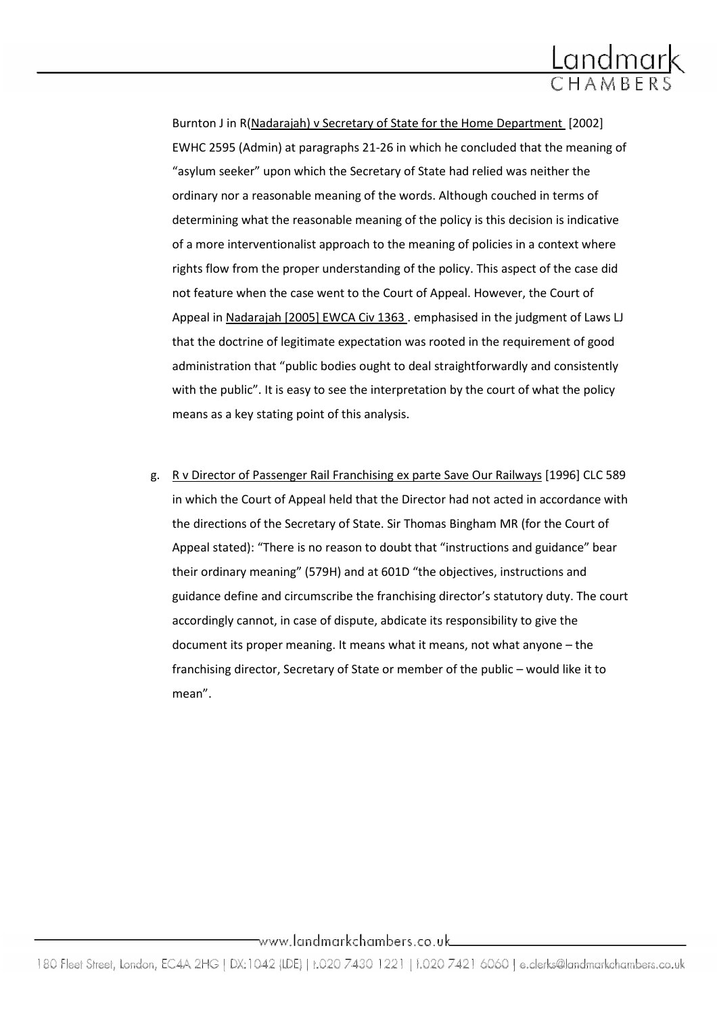

Burnton J in R(Nadarajah) v Secretary of State for the Home Department [2002] EWHC 2595 (Admin) at paragraphs 21-26 in which he concluded that the meaning of "asylum seeker" upon which the Secretary of State had relied was neither the ordinary nor a reasonable meaning of the words. Although couched in terms of determining what the reasonable meaning of the policy is this decision is indicative of a more interventionalist approach to the meaning of policies in a context where rights flow from the proper understanding of the policy. This aspect of the case did not feature when the case went to the Court of Appeal. However, the Court of Appeal in Nadarajah [2005] EWCA Civ 1363 . emphasised in the judgment of Laws LJ that the doctrine of legitimate expectation was rooted in the requirement of good administration that "public bodies ought to deal straightforwardly and consistently with the public". It is easy to see the interpretation by the court of what the policy means as a key stating point of this analysis.

g. R v Director of Passenger Rail Franchising ex parte Save Our Railways [1996] CLC 589 in which the Court of Appeal held that the Director had not acted in accordance with the directions of the Secretary of State. Sir Thomas Bingham MR (for the Court of Appeal stated): "There is no reason to doubt that "instructions and guidance" bear their ordinary meaning" (579H) and at 601D "the objectives, instructions and guidance define and circumscribe the franchising director's statutory duty. The court accordingly cannot, in case of dispute, abdicate its responsibility to give the document its proper meaning. It means what it means, not what anyone – the franchising director, Secretary of State or member of the public – would like it to mean".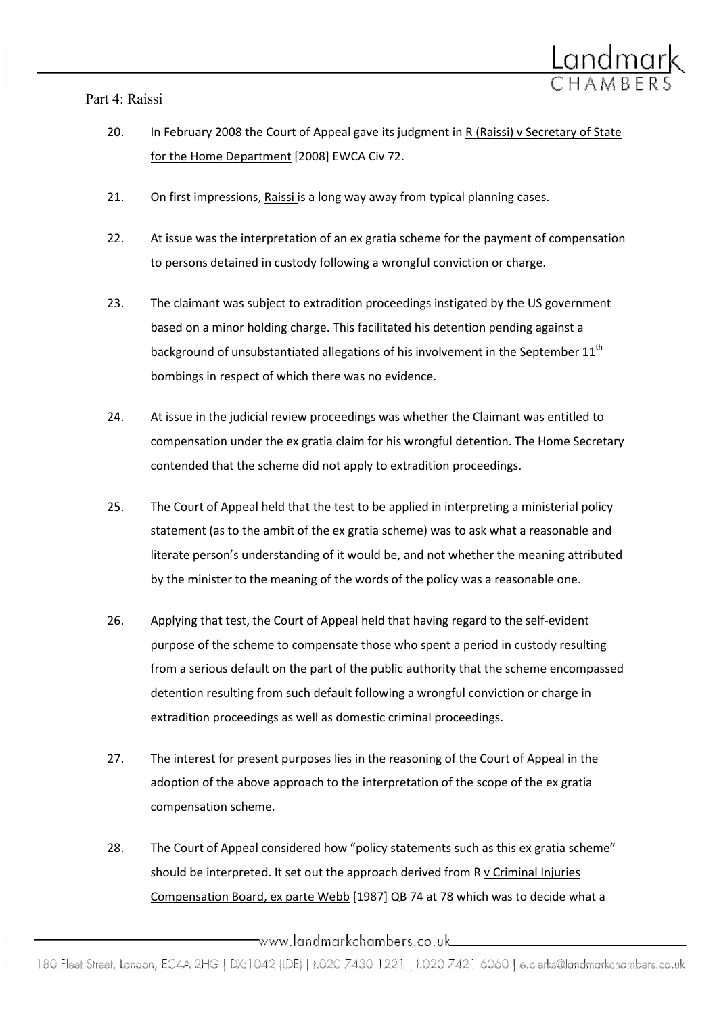## Part 4: Raissi



- 21. On first impressions, Raissi is a long way away from typical planning cases.
- 22. At issue was the interpretation of an ex gratia scheme for the payment of compensation to persons detained in custody following a wrongful conviction or charge.
- 23. The claimant was subject to extradition proceedings instigated by the US government based on a minor holding charge. This facilitated his detention pending against a background of unsubstantiated allegations of his involvement in the September  $11<sup>th</sup>$ bombings in respect of which there was no evidence.
- 24. At issue in the judicial review proceedings was whether the Claimant was entitled to compensation under the ex gratia claim for his wrongful detention. The Home Secretary contended that the scheme did not apply to extradition proceedings.
- 25. The Court of Appeal held that the test to be applied in interpreting a ministerial policy statement (as to the ambit of the ex gratia scheme) was to ask what a reasonable and literate person's understanding of it would be, and not whether the meaning attributed by the minister to the meaning of the words of the policy was a reasonable one.
- 26. Applying that test, the Court of Appeal held that having regard to the self-evident purpose of the scheme to compensate those who spent a period in custody resulting from a serious default on the part of the public authority that the scheme encompassed detention resulting from such default following a wrongful conviction or charge in extradition proceedings as well as domestic criminal proceedings.
- 27. The interest for present purposes lies in the reasoning of the Court of Appeal in the adoption of the above approach to the interpretation of the scope of the ex gratia compensation scheme.
- 28. The Court of Appeal considered how "policy statements such as this ex gratia scheme" should be interpreted. It set out the approach derived from R v Criminal Injuries Compensation Board, ex parte Webb [1987] QB 74 at 78 which was to decide what a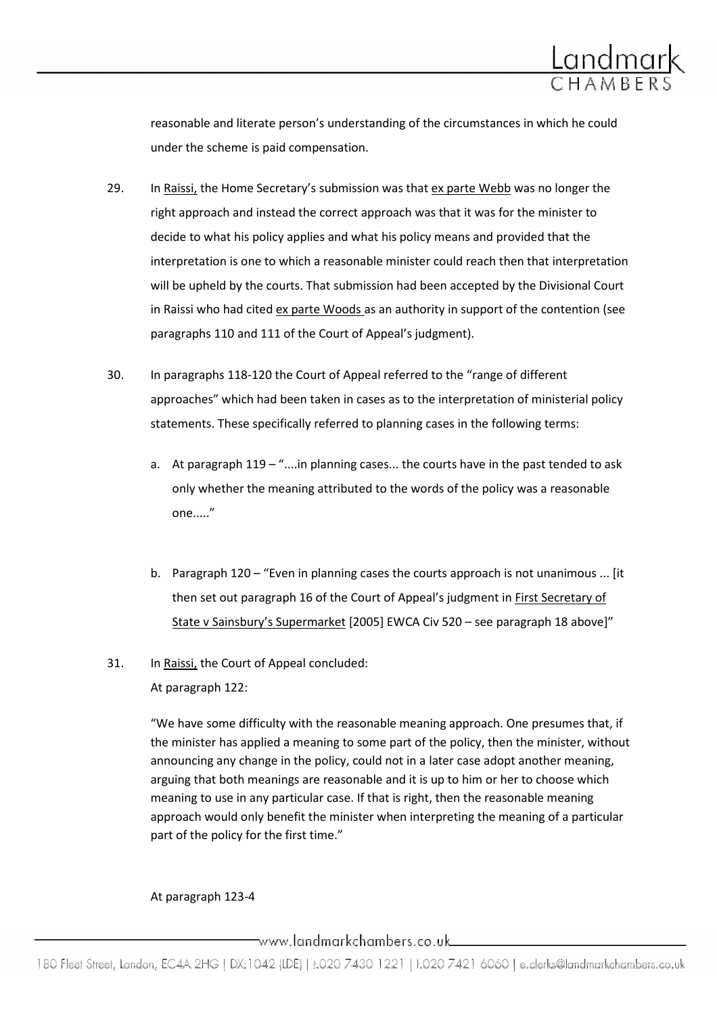

reasonable and literate person's understanding of the circumstances in which he could under the scheme is paid compensation.

- 29. In Raissi, the Home Secretary's submission was that ex parte Webb was no longer the right approach and instead the correct approach was that it was for the minister to decide to what his policy applies and what his policy means and provided that the interpretation is one to which a reasonable minister could reach then that interpretation will be upheld by the courts. That submission had been accepted by the Divisional Court in Raissi who had cited ex parte Woods as an authority in support of the contention (see paragraphs 110 and 111 of the Court of Appeal's judgment).
- 30. In paragraphs 118-120 the Court of Appeal referred to the "range of different approaches" which had been taken in cases as to the interpretation of ministerial policy statements. These specifically referred to planning cases in the following terms:
	- a. At paragraph 119 "....in planning cases... the courts have in the past tended to ask only whether the meaning attributed to the words of the policy was a reasonable one....."
	- b. Paragraph 120 "Even in planning cases the courts approach is not unanimous ... [it then set out paragraph 16 of the Court of Appeal's judgment in First Secretary of State v Sainsbury's Supermarket [2005] EWCA Civ 520 – see paragraph 18 above]"
- 31. In Raissi, the Court of Appeal concluded:

At paragraph 122:

"We have some difficulty with the reasonable meaning approach. One presumes that, if the minister has applied a meaning to some part of the policy, then the minister, without announcing any change in the policy, could not in a later case adopt another meaning, arguing that both meanings are reasonable and it is up to him or her to choose which meaning to use in any particular case. If that is right, then the reasonable meaning approach would only benefit the minister when interpreting the meaning of a particular part of the policy for the first time."

### At paragraph 123-4

www.landmarkchambers.co.uk\_\_\_\_\_\_\_\_\_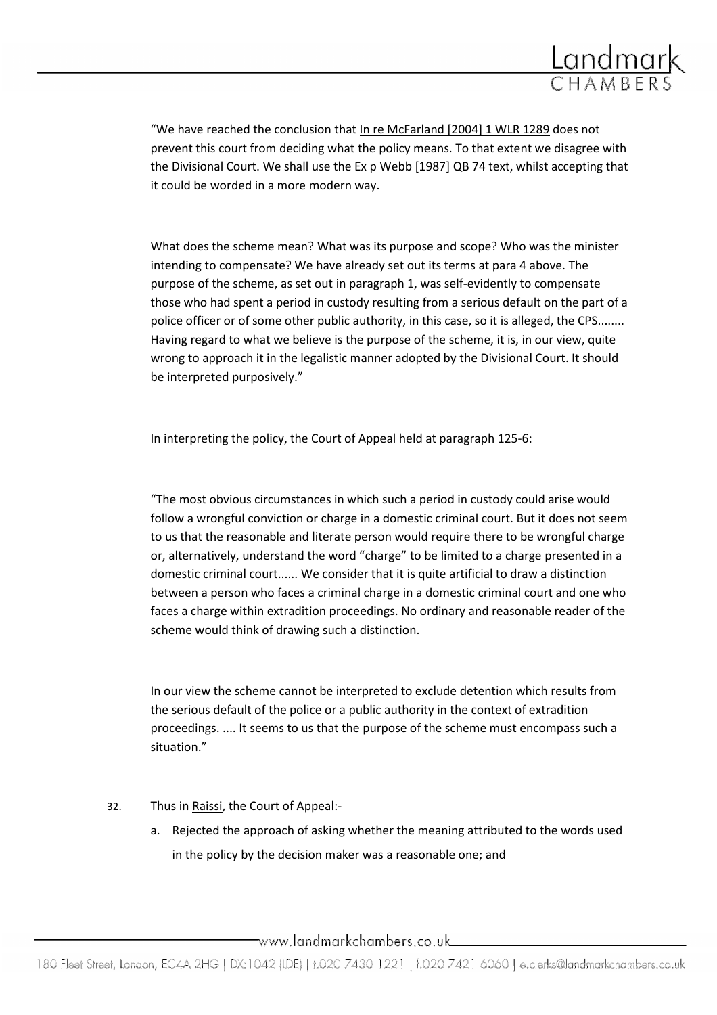

"We have reached the conclusion that In re McFarland [2004] 1 WLR 1289 does not prevent this court from deciding what the policy means. To that extent we disagree with the Divisional Court. We shall use the Ex p Webb [1987] QB 74 text, whilst accepting that it could be worded in a more modern way.

What does the scheme mean? What was its purpose and scope? Who was the minister intending to compensate? We have already set out its terms at para 4 above. The purpose of the scheme, as set out in paragraph 1, was self-evidently to compensate those who had spent a period in custody resulting from a serious default on the part of a police officer or of some other public authority, in this case, so it is alleged, the CPS........ Having regard to what we believe is the purpose of the scheme, it is, in our view, quite wrong to approach it in the legalistic manner adopted by the Divisional Court. It should be interpreted purposively."

In interpreting the policy, the Court of Appeal held at paragraph 125-6:

"The most obvious circumstances in which such a period in custody could arise would follow a wrongful conviction or charge in a domestic criminal court. But it does not seem to us that the reasonable and literate person would require there to be wrongful charge or, alternatively, understand the word "charge" to be limited to a charge presented in a domestic criminal court...... We consider that it is quite artificial to draw a distinction between a person who faces a criminal charge in a domestic criminal court and one who faces a charge within extradition proceedings. No ordinary and reasonable reader of the scheme would think of drawing such a distinction.

In our view the scheme cannot be interpreted to exclude detention which results from the serious default of the police or a public authority in the context of extradition proceedings. .... It seems to us that the purpose of the scheme must encompass such a situation."

- 32. Thus in Raissi, the Court of Appeal:
	- a. Rejected the approach of asking whether the meaning attributed to the words used in the policy by the decision maker was a reasonable one; and

 $\overline{\phantom{a}}$ www.landmarkchambers.co.uk $\overline{\phantom{a}}$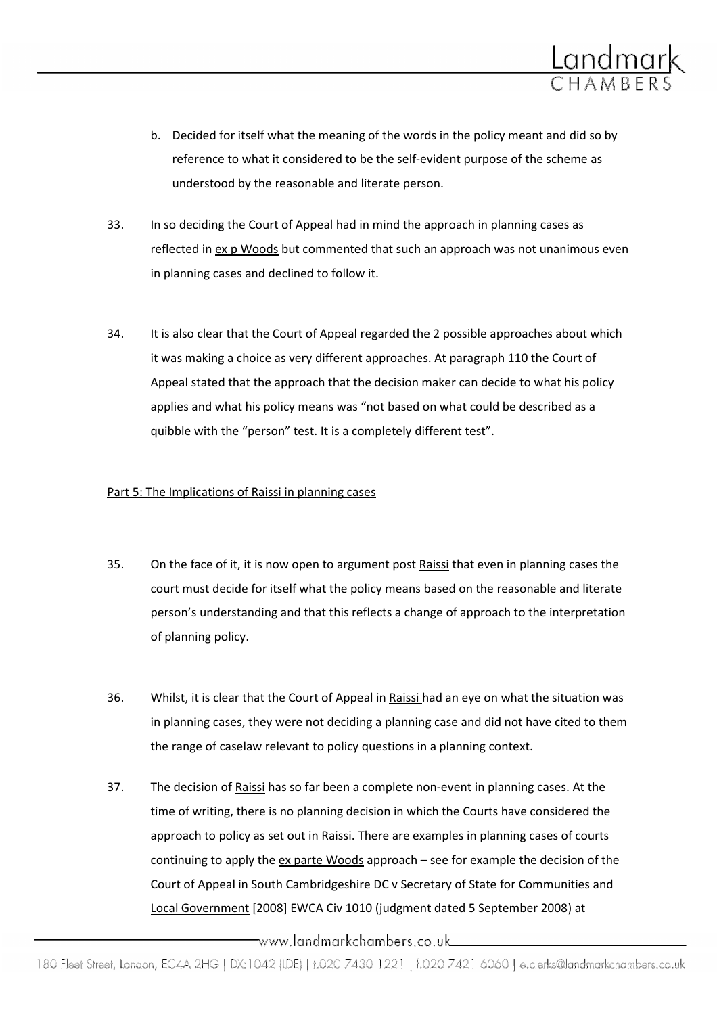

- b. Decided for itself what the meaning of the words in the policy meant and did so by reference to what it considered to be the self-evident purpose of the scheme as understood by the reasonable and literate person.
- 33. In so deciding the Court of Appeal had in mind the approach in planning cases as reflected in ex p Woods but commented that such an approach was not unanimous even in planning cases and declined to follow it.
- 34. It is also clear that the Court of Appeal regarded the 2 possible approaches about which it was making a choice as very different approaches. At paragraph 110 the Court of Appeal stated that the approach that the decision maker can decide to what his policy applies and what his policy means was "not based on what could be described as a quibble with the "person" test. It is a completely different test".

#### Part 5: The Implications of Raissi in planning cases

- 35. On the face of it, it is now open to argument post Raissi that even in planning cases the court must decide for itself what the policy means based on the reasonable and literate person's understanding and that this reflects a change of approach to the interpretation of planning policy.
- 36. Whilst, it is clear that the Court of Appeal in Raissi had an eye on what the situation was in planning cases, they were not deciding a planning case and did not have cited to them the range of caselaw relevant to policy questions in a planning context.
- 37. The decision of Raissi has so far been a complete non-event in planning cases. At the time of writing, there is no planning decision in which the Courts have considered the approach to policy as set out in Raissi. There are examples in planning cases of courts continuing to apply the ex parte Woods approach – see for example the decision of the Court of Appeal in South Cambridgeshire DC v Secretary of State for Communities and Local Government [2008] EWCA Civ 1010 (judgment dated 5 September 2008) at

\_www.landmarkchambers.co.uk\_\_\_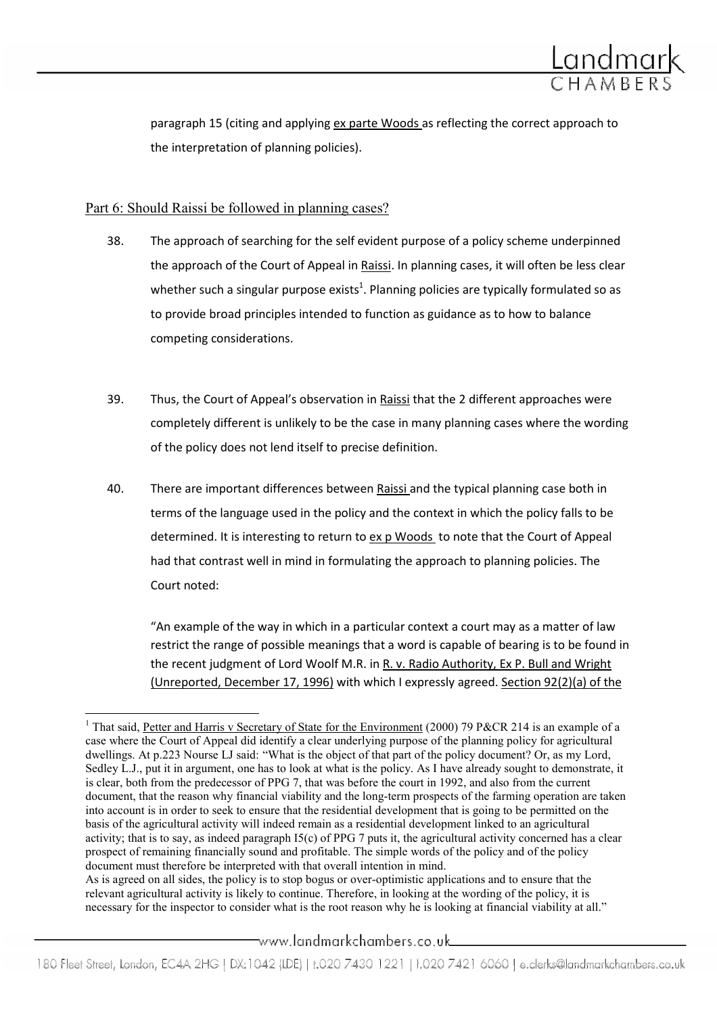

paragraph 15 (citing and applying ex parte Woods as reflecting the correct approach to the interpretation of planning policies).

## Part 6: Should Raissi be followed in planning cases?

 $\overline{a}$ 

- 38. The approach of searching for the self evident purpose of a policy scheme underpinned the approach of the Court of Appeal in Raissi. In planning cases, it will often be less clear whether such a singular purpose exists<sup>1</sup>. Planning policies are typically formulated so as to provide broad principles intended to function as guidance as to how to balance competing considerations.
- 39. Thus, the Court of Appeal's observation in Raissi that the 2 different approaches were completely different is unlikely to be the case in many planning cases where the wording of the policy does not lend itself to precise definition.
- 40. There are important differences between Raissi and the typical planning case both in terms of the language used in the policy and the context in which the policy falls to be determined. It is interesting to return to ex p Woods to note that the Court of Appeal had that contrast well in mind in formulating the approach to planning policies. The Court noted:

"An example of the way in which in a particular context a court may as a matter of law restrict the range of possible meanings that a word is capable of bearing is to be found in the recent judgment of Lord Woolf M.R. in R. v. Radio Authority, Ex P. Bull and Wright (Unreported, December 17, 1996) with which I expressly agreed. Section 92(2)(a) of the

As is agreed on all sides, the policy is to stop bogus or over-optimistic applications and to ensure that the relevant agricultural activity is likely to continue. Therefore, in looking at the wording of the policy, it is necessary for the inspector to consider what is the root reason why he is looking at financial viability at all."

\_www.landmarkchambers.co.uk\_\_\_

<sup>&</sup>lt;sup>1</sup> That said, Petter and Harris v Secretary of State for the Environment (2000) 79 P&CR 214 is an example of a case where the Court of Appeal did identify a clear underlying purpose of the planning policy for agricultural dwellings. At p.223 Nourse LJ said: "What is the object of that part of the policy document? Or, as my Lord, Sedley L.J., put it in argument, one has to look at what is the policy. As I have already sought to demonstrate, it is clear, both from the predecessor of PPG 7, that was before the court in 1992, and also from the current document, that the reason why financial viability and the long-term prospects of the farming operation are taken into account is in order to seek to ensure that the residential development that is going to be permitted on the basis of the agricultural activity will indeed remain as a residential development linked to an agricultural activity; that is to say, as indeed paragraph I5(c) of PPG 7 puts it, the agricultural activity concerned has a clear prospect of remaining financially sound and profitable. The simple words of the policy and of the policy document must therefore be interpreted with that overall intention in mind.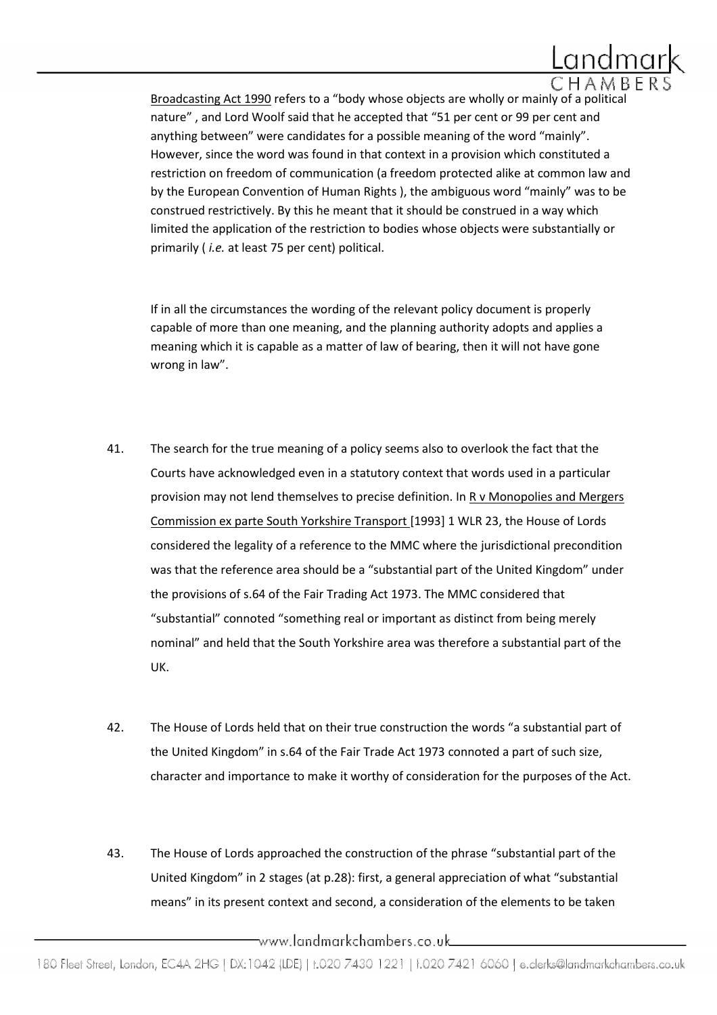

Broadcasting Act 1990 refers to a "body whose objects are wholly or mainly of a political nature" , and Lord Woolf said that he accepted that "51 per cent or 99 per cent and anything between" were candidates for a possible meaning of the word "mainly". However, since the word was found in that context in a provision which constituted a restriction on freedom of communication (a freedom protected alike at common law and by the European Convention of Human Rights ), the ambiguous word "mainly" was to be construed restrictively. By this he meant that it should be construed in a way which limited the application of the restriction to bodies whose objects were substantially or primarily (*i.e.* at least 75 per cent) political.

If in all the circumstances the wording of the relevant policy document is properly capable of more than one meaning, and the planning authority adopts and applies a meaning which it is capable as a matter of law of bearing, then it will not have gone wrong in law".

- 41. The search for the true meaning of a policy seems also to overlook the fact that the Courts have acknowledged even in a statutory context that words used in a particular provision may not lend themselves to precise definition. In R v Monopolies and Mergers Commission ex parte South Yorkshire Transport [1993] 1 WLR 23, the House of Lords considered the legality of a reference to the MMC where the jurisdictional precondition was that the reference area should be a "substantial part of the United Kingdom" under the provisions of s.64 of the Fair Trading Act 1973. The MMC considered that "substantial" connoted "something real or important as distinct from being merely nominal" and held that the South Yorkshire area was therefore a substantial part of the UK.
- 42. The House of Lords held that on their true construction the words "a substantial part of the United Kingdom" in s.64 of the Fair Trade Act 1973 connoted a part of such size, character and importance to make it worthy of consideration for the purposes of the Act.
- 43. The House of Lords approached the construction of the phrase "substantial part of the United Kingdom" in 2 stages (at p.28): first, a general appreciation of what "substantial means" in its present context and second, a consideration of the elements to be taken

\_www.landmarkchambers.co.uk\_\_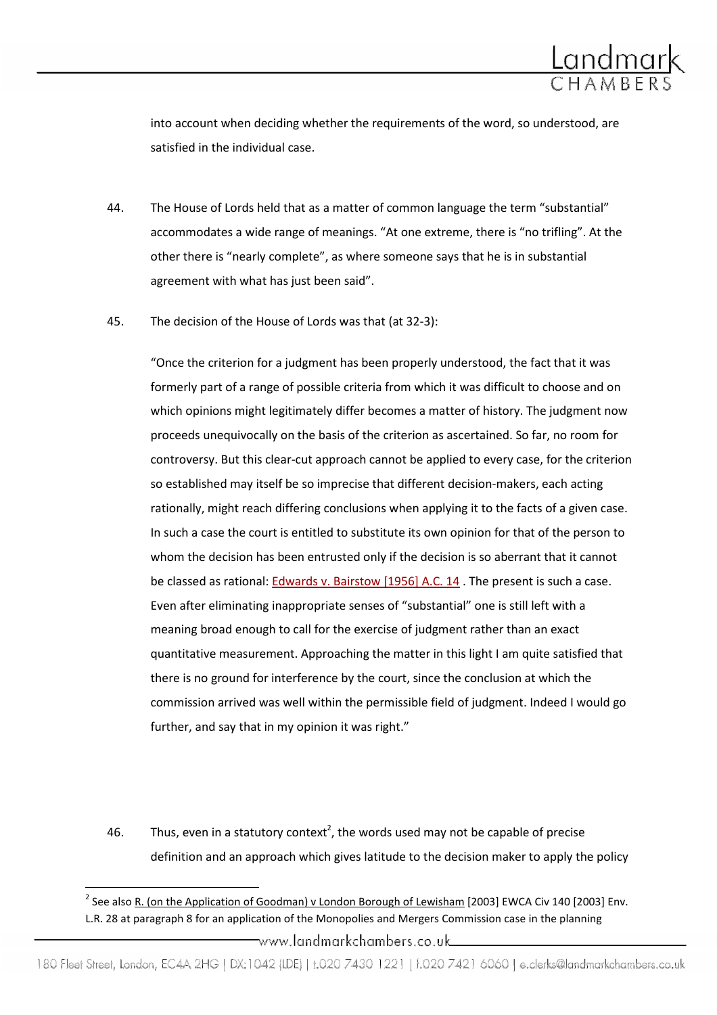

into account when deciding whether the requirements of the word, so understood, are satisfied in the individual case.

- 44. The House of Lords held that as a matter of common language the term "substantial" accommodates a wide range of meanings. "At one extreme, there is "no trifling". At the other there is "nearly complete", as where someone says that he is in substantial agreement with what has just been said".
- 45. The decision of the House of Lords was that (at 32-3):

"Once the criterion for a judgment has been properly understood, the fact that it was formerly part of a range of possible criteria from which it was difficult to choose and on which opinions might legitimately differ becomes a matter of history. The judgment now proceeds unequivocally on the basis of the criterion as ascertained. So far, no room for controversy. But this clear-cut approach cannot be applied to every case, for the criterion so established may itself be so imprecise that different decision-makers, each acting rationally, might reach differing conclusions when applying it to the facts of a given case. In such a case the court is entitled to substitute its own opinion for that of the person to whom the decision has been entrusted only if the decision is so aberrant that it cannot be classed as rational: Edwards v. Bairstow [1956] A.C. 14 . The present is such a case. Even after eliminating inappropriate senses of "substantial" one is still left with a meaning broad enough to call for the exercise of judgment rather than an exact quantitative measurement. Approaching the matter in this light I am quite satisfied that there is no ground for interference by the court, since the conclusion at which the commission arrived was well within the permissible field of judgment. Indeed I would go further, and say that in my opinion it was right."

46. Thus, even in a statutory context<sup>2</sup>, the words used may not be capable of precise definition and an approach which gives latitude to the decision maker to apply the policy

 $\overline{a}$ 

180 Fleet Street, London, EC4A 2HG | DX:1042 (IDE) | t.020 7430 1221 | f.020 7421 6060 | e.clerks@landmarkchambers.co.uk

<sup>&</sup>lt;sup>2</sup> See also R. (on the Application of Goodman) v London Borough of Lewisham [2003] EWCA Civ 140 [2003] Env. L.R. 28 at paragraph 8 for an application of the Monopolies and Mergers Commission case in the planning \_www.landmarkchambers.co.uk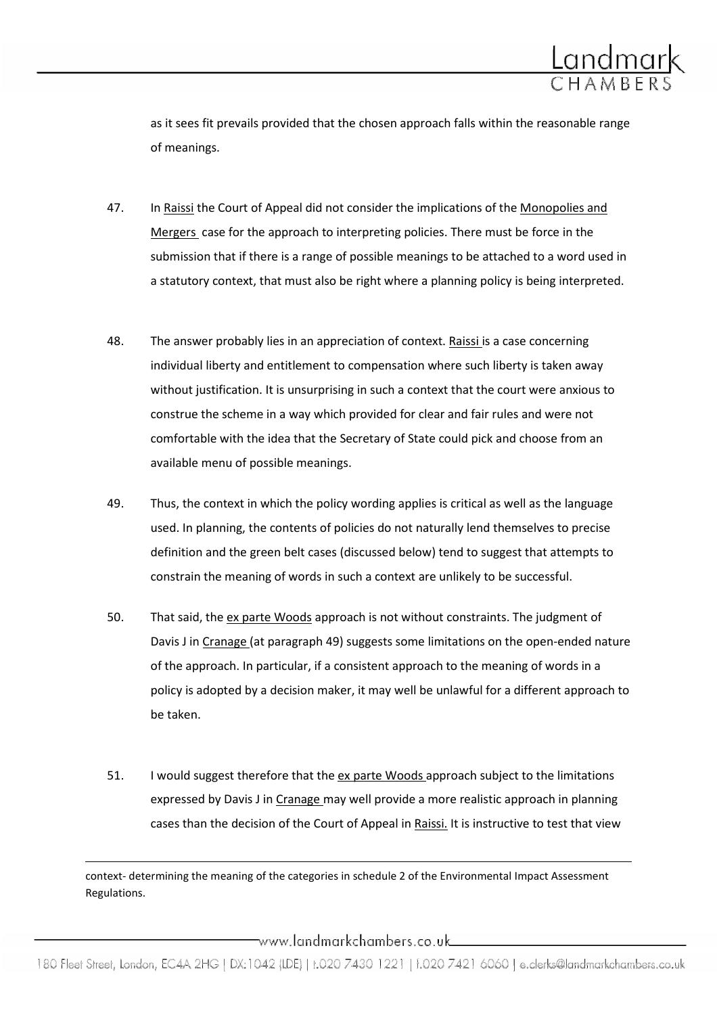

as it sees fit prevails provided that the chosen approach falls within the reasonable range of meanings.

- 47. In Raissi the Court of Appeal did not consider the implications of the Monopolies and Mergers case for the approach to interpreting policies. There must be force in the submission that if there is a range of possible meanings to be attached to a word used in a statutory context, that must also be right where a planning policy is being interpreted.
- 48. The answer probably lies in an appreciation of context. Raissi is a case concerning individual liberty and entitlement to compensation where such liberty is taken away without justification. It is unsurprising in such a context that the court were anxious to construe the scheme in a way which provided for clear and fair rules and were not comfortable with the idea that the Secretary of State could pick and choose from an available menu of possible meanings.
- 49. Thus, the context in which the policy wording applies is critical as well as the language used. In planning, the contents of policies do not naturally lend themselves to precise definition and the green belt cases (discussed below) tend to suggest that attempts to constrain the meaning of words in such a context are unlikely to be successful.
- 50. That said, the ex parte Woods approach is not without constraints. The judgment of Davis J in Cranage (at paragraph 49) suggests some limitations on the open-ended nature of the approach. In particular, if a consistent approach to the meaning of words in a policy is adopted by a decision maker, it may well be unlawful for a different approach to be taken.
- 51. I would suggest therefore that the ex parte Woods approach subject to the limitations expressed by Davis J in Cranage may well provide a more realistic approach in planning cases than the decision of the Court of Appeal in Raissi. It is instructive to test that view

context- determining the meaning of the categories in schedule 2 of the Environmental Impact Assessment Regulations.

l

——www.landmarkchambers.co.uk\_\_\_\_\_\_\_\_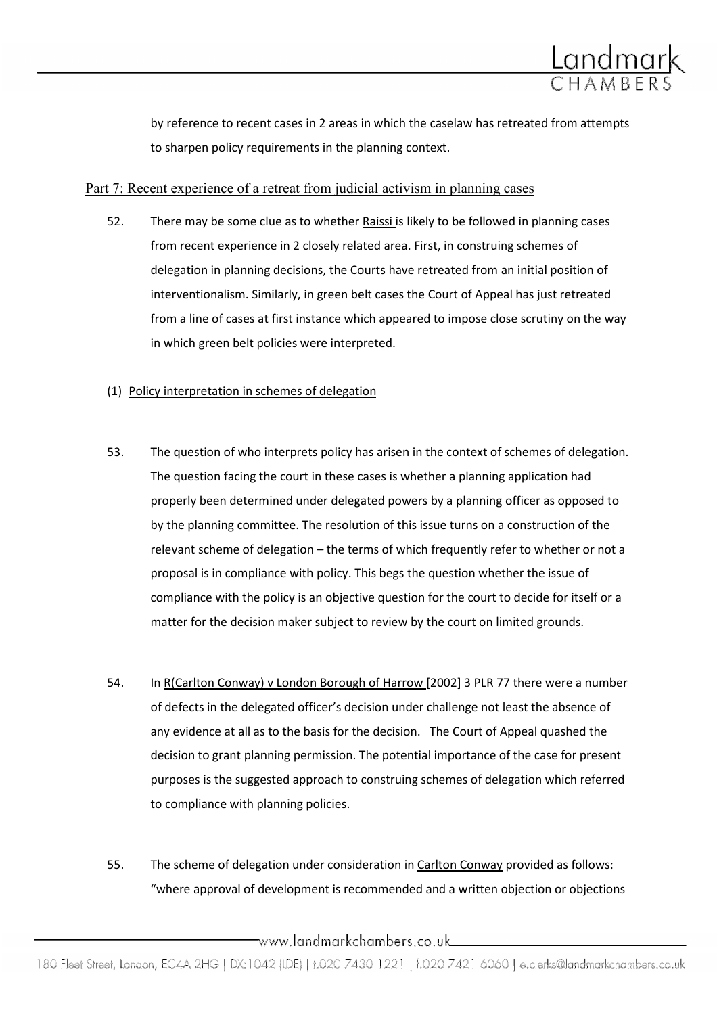

by reference to recent cases in 2 areas in which the caselaw has retreated from attempts to sharpen policy requirements in the planning context.

### Part 7: Recent experience of a retreat from judicial activism in planning cases

52. There may be some clue as to whether Raissi is likely to be followed in planning cases from recent experience in 2 closely related area. First, in construing schemes of delegation in planning decisions, the Courts have retreated from an initial position of interventionalism. Similarly, in green belt cases the Court of Appeal has just retreated from a line of cases at first instance which appeared to impose close scrutiny on the way in which green belt policies were interpreted.

#### (1) Policy interpretation in schemes of delegation

- 53. The question of who interprets policy has arisen in the context of schemes of delegation. The question facing the court in these cases is whether a planning application had properly been determined under delegated powers by a planning officer as opposed to by the planning committee. The resolution of this issue turns on a construction of the relevant scheme of delegation – the terms of which frequently refer to whether or not a proposal is in compliance with policy. This begs the question whether the issue of compliance with the policy is an objective question for the court to decide for itself or a matter for the decision maker subject to review by the court on limited grounds.
- 54. In R(Carlton Conway) v London Borough of Harrow [2002] 3 PLR 77 there were a number of defects in the delegated officer's decision under challenge not least the absence of any evidence at all as to the basis for the decision. The Court of Appeal quashed the decision to grant planning permission. The potential importance of the case for present purposes is the suggested approach to construing schemes of delegation which referred to compliance with planning policies.
- 55. The scheme of delegation under consideration in Carlton Conway provided as follows: "where approval of development is recommended and a written objection or objections

 $\overline{\phantom{a}}$ www.landmarkchambers.co.uk $\overline{\phantom{a}}$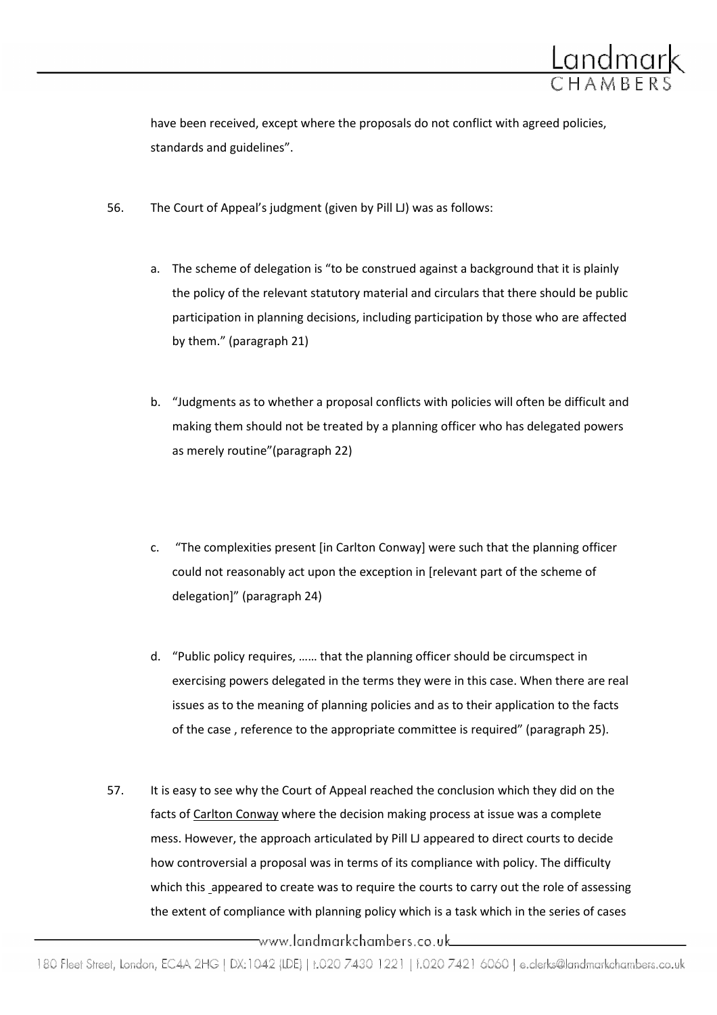

have been received, except where the proposals do not conflict with agreed policies, standards and guidelines".

- 56. The Court of Appeal's judgment (given by Pill LJ) was as follows:
	- a. The scheme of delegation is "to be construed against a background that it is plainly the policy of the relevant statutory material and circulars that there should be public participation in planning decisions, including participation by those who are affected by them." (paragraph 21)
	- b. "Judgments as to whether a proposal conflicts with policies will often be difficult and making them should not be treated by a planning officer who has delegated powers as merely routine"(paragraph 22)
	- c. "The complexities present [in Carlton Conway] were such that the planning officer could not reasonably act upon the exception in [relevant part of the scheme of delegation]" (paragraph 24)
	- d. "Public policy requires, …… that the planning officer should be circumspect in exercising powers delegated in the terms they were in this case. When there are real issues as to the meaning of planning policies and as to their application to the facts of the case , reference to the appropriate committee is required" (paragraph 25).
- 57. It is easy to see why the Court of Appeal reached the conclusion which they did on the facts of Carlton Conway where the decision making process at issue was a complete mess. However, the approach articulated by Pill LJ appeared to direct courts to decide how controversial a proposal was in terms of its compliance with policy. The difficulty which this appeared to create was to require the courts to carry out the role of assessing the extent of compliance with planning policy which is a task which in the series of cases

\_www.landmarkchambers.co.uk\_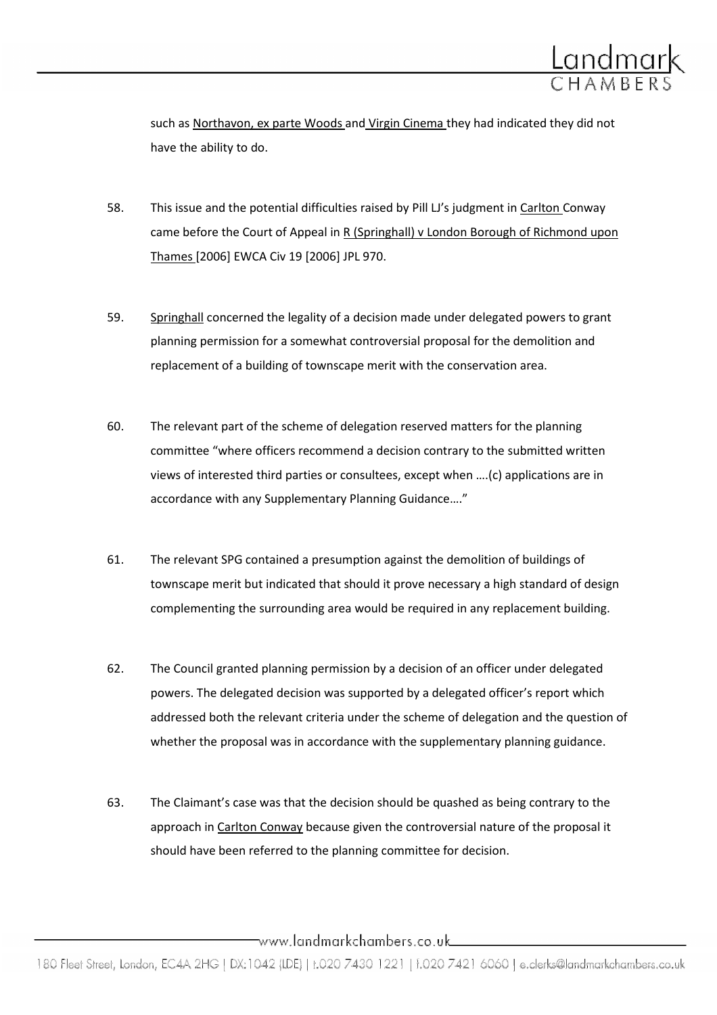

such as Northavon, ex parte Woods and Virgin Cinema they had indicated they did not have the ability to do.

- 58. This issue and the potential difficulties raised by Pill LJ's judgment in Carlton Conway came before the Court of Appeal in R (Springhall) v London Borough of Richmond upon Thames [2006] EWCA Civ 19 [2006] JPL 970.
- 59. Springhall concerned the legality of a decision made under delegated powers to grant planning permission for a somewhat controversial proposal for the demolition and replacement of a building of townscape merit with the conservation area.
- 60. The relevant part of the scheme of delegation reserved matters for the planning committee "where officers recommend a decision contrary to the submitted written views of interested third parties or consultees, except when ….(c) applications are in accordance with any Supplementary Planning Guidance…."
- 61. The relevant SPG contained a presumption against the demolition of buildings of townscape merit but indicated that should it prove necessary a high standard of design complementing the surrounding area would be required in any replacement building.
- 62. The Council granted planning permission by a decision of an officer under delegated powers. The delegated decision was supported by a delegated officer's report which addressed both the relevant criteria under the scheme of delegation and the question of whether the proposal was in accordance with the supplementary planning guidance.
- 63. The Claimant's case was that the decision should be quashed as being contrary to the approach in Carlton Conway because given the controversial nature of the proposal it should have been referred to the planning committee for decision.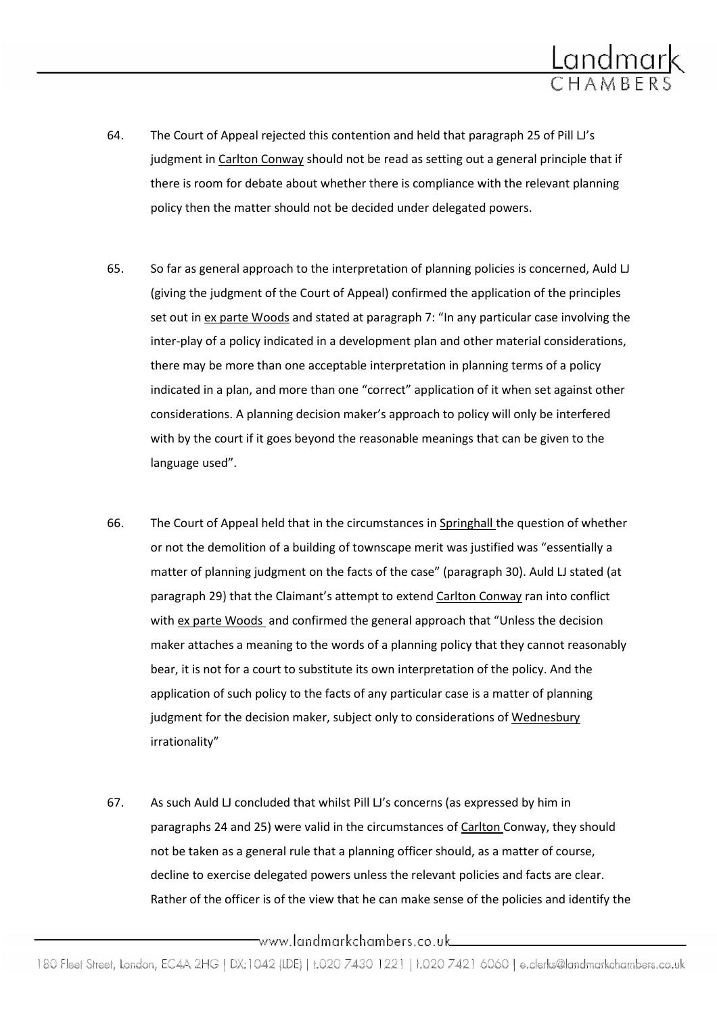

- 64. The Court of Appeal rejected this contention and held that paragraph 25 of Pill LJ's judgment in Carlton Conway should not be read as setting out a general principle that if there is room for debate about whether there is compliance with the relevant planning policy then the matter should not be decided under delegated powers.
- 65. So far as general approach to the interpretation of planning policies is concerned, Auld LJ (giving the judgment of the Court of Appeal) confirmed the application of the principles set out in ex parte Woods and stated at paragraph 7: "In any particular case involving the inter-play of a policy indicated in a development plan and other material considerations, there may be more than one acceptable interpretation in planning terms of a policy indicated in a plan, and more than one "correct" application of it when set against other considerations. A planning decision maker's approach to policy will only be interfered with by the court if it goes beyond the reasonable meanings that can be given to the language used".
- 66. The Court of Appeal held that in the circumstances in Springhall the question of whether or not the demolition of a building of townscape merit was justified was "essentially a matter of planning judgment on the facts of the case" (paragraph 30). Auld LJ stated (at paragraph 29) that the Claimant's attempt to extend Carlton Conway ran into conflict with ex parte Woods and confirmed the general approach that "Unless the decision maker attaches a meaning to the words of a planning policy that they cannot reasonably bear, it is not for a court to substitute its own interpretation of the policy. And the application of such policy to the facts of any particular case is a matter of planning judgment for the decision maker, subject only to considerations of Wednesbury irrationality"
- 67. As such Auld LJ concluded that whilst Pill LJ's concerns (as expressed by him in paragraphs 24 and 25) were valid in the circumstances of Carlton Conway, they should not be taken as a general rule that a planning officer should, as a matter of course, decline to exercise delegated powers unless the relevant policies and facts are clear. Rather of the officer is of the view that he can make sense of the policies and identify the

\_\_www.landmarkchambers.co.uk\_\_\_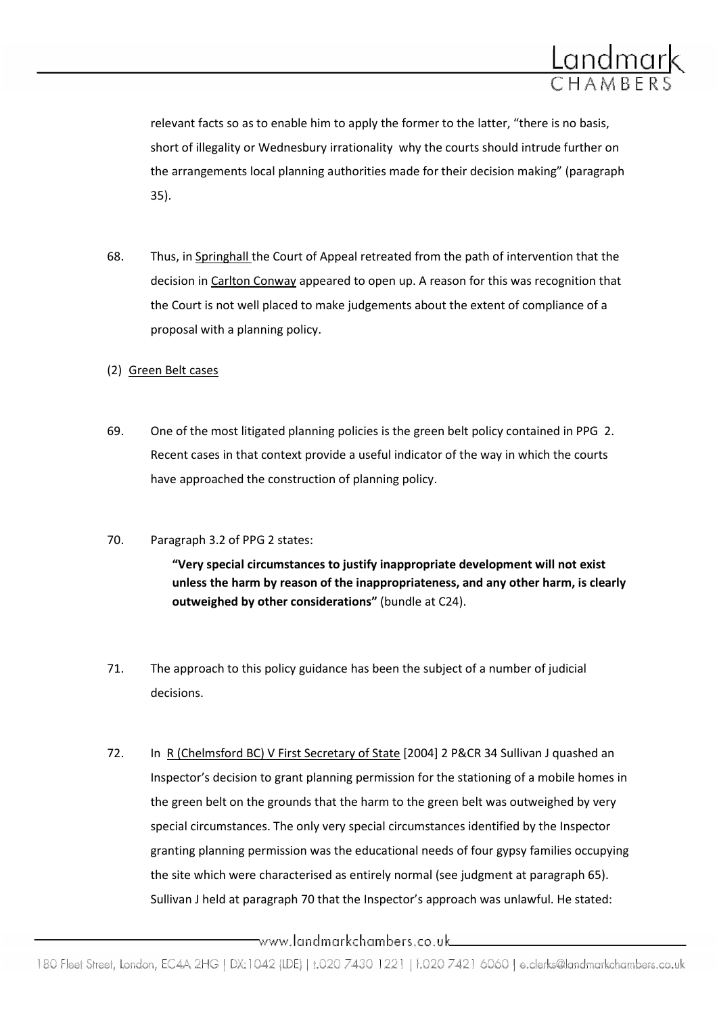

relevant facts so as to enable him to apply the former to the latter, "there is no basis, short of illegality or Wednesbury irrationality why the courts should intrude further on the arrangements local planning authorities made for their decision making" (paragraph 35).

- 68. Thus, in Springhall the Court of Appeal retreated from the path of intervention that the decision in Carlton Conway appeared to open up. A reason for this was recognition that the Court is not well placed to make judgements about the extent of compliance of a proposal with a planning policy.
- (2) Green Belt cases
- 69. One of the most litigated planning policies is the green belt policy contained in PPG 2. Recent cases in that context provide a useful indicator of the way in which the courts have approached the construction of planning policy.
- 70. Paragraph 3.2 of PPG 2 states:

"Very special circumstances to justify inappropriate development will not exist unless the harm by reason of the inappropriateness, and any other harm, is clearly outweighed by other considerations" (bundle at C24).

- 71. The approach to this policy guidance has been the subject of a number of judicial decisions.
- 72. In R (Chelmsford BC) V First Secretary of State [2004] 2 P&CR 34 Sullivan J quashed an Inspector's decision to grant planning permission for the stationing of a mobile homes in the green belt on the grounds that the harm to the green belt was outweighed by very special circumstances. The only very special circumstances identified by the Inspector granting planning permission was the educational needs of four gypsy families occupying the site which were characterised as entirely normal (see judgment at paragraph 65). Sullivan J held at paragraph 70 that the Inspector's approach was unlawful. He stated:

\_www.landmarkchambers.co.uk\_\_\_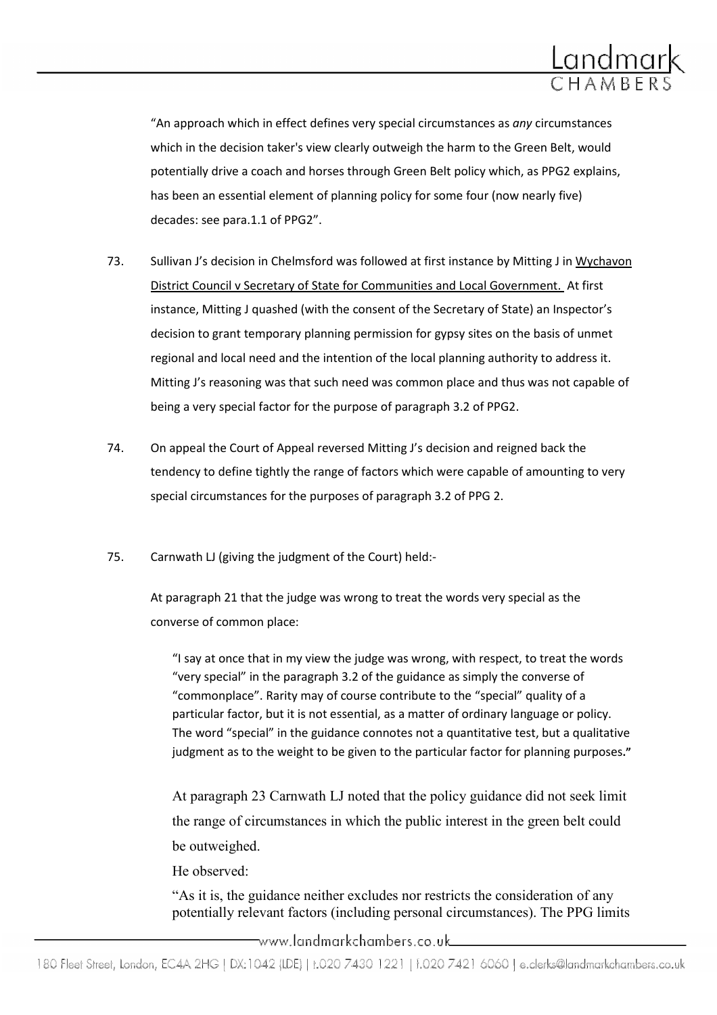

"An approach which in effect defines very special circumstances as any circumstances which in the decision taker's view clearly outweigh the harm to the Green Belt, would potentially drive a coach and horses through Green Belt policy which, as PPG2 explains, has been an essential element of planning policy for some four (now nearly five) decades: see para.1.1 of PPG2".

- 73. Sullivan J's decision in Chelmsford was followed at first instance by Mitting J in Wychavon District Council v Secretary of State for Communities and Local Government. At first instance, Mitting J quashed (with the consent of the Secretary of State) an Inspector's decision to grant temporary planning permission for gypsy sites on the basis of unmet regional and local need and the intention of the local planning authority to address it. Mitting J's reasoning was that such need was common place and thus was not capable of being a very special factor for the purpose of paragraph 3.2 of PPG2.
- 74. On appeal the Court of Appeal reversed Mitting J's decision and reigned back the tendency to define tightly the range of factors which were capable of amounting to very special circumstances for the purposes of paragraph 3.2 of PPG 2.
- 75. Carnwath LJ (giving the judgment of the Court) held:-

At paragraph 21 that the judge was wrong to treat the words very special as the converse of common place:

"I say at once that in my view the judge was wrong, with respect, to treat the words "very special" in the paragraph 3.2 of the guidance as simply the converse of "commonplace". Rarity may of course contribute to the "special" quality of a particular factor, but it is not essential, as a matter of ordinary language or policy. The word "special" in the guidance connotes not a quantitative test, but a qualitative judgment as to the weight to be given to the particular factor for planning purposes."

At paragraph 23 Carnwath LJ noted that the policy guidance did not seek limit the range of circumstances in which the public interest in the green belt could be outweighed.

He observed:

"As it is, the guidance neither excludes nor restricts the consideration of any potentially relevant factors (including personal circumstances). The PPG limits

\_www.landmarkchambers.co.uk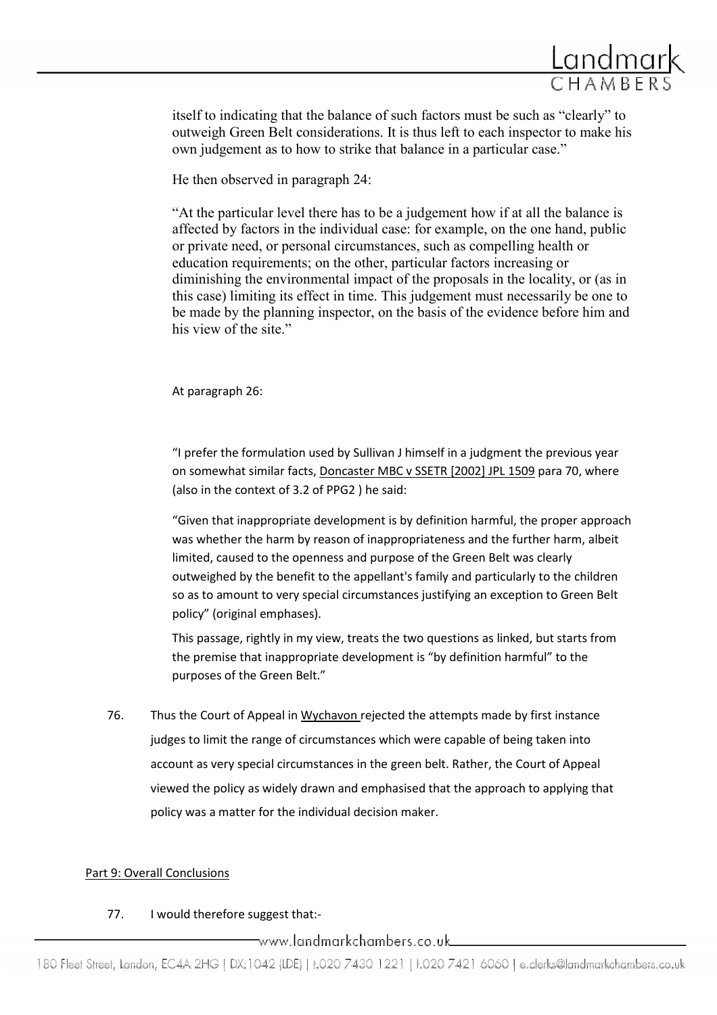

itself to indicating that the balance of such factors must be such as "clearly" to outweigh Green Belt considerations. It is thus left to each inspector to make his own judgement as to how to strike that balance in a particular case."

He then observed in paragraph 24:

"At the particular level there has to be a judgement how if at all the balance is affected by factors in the individual case: for example, on the one hand, public or private need, or personal circumstances, such as compelling health or education requirements; on the other, particular factors increasing or diminishing the environmental impact of the proposals in the locality, or (as in this case) limiting its effect in time. This judgement must necessarily be one to be made by the planning inspector, on the basis of the evidence before him and his view of the site."

At paragraph 26:

"I prefer the formulation used by Sullivan J himself in a judgment the previous year on somewhat similar facts, Doncaster MBC v SSETR [2002] JPL 1509 para 70, where (also in the context of 3.2 of PPG2 ) he said:

"Given that inappropriate development is by definition harmful, the proper approach was whether the harm by reason of inappropriateness and the further harm, albeit limited, caused to the openness and purpose of the Green Belt was clearly outweighed by the benefit to the appellant's family and particularly to the children so as to amount to very special circumstances justifying an exception to Green Belt policy" (original emphases).

This passage, rightly in my view, treats the two questions as linked, but starts from the premise that inappropriate development is "by definition harmful" to the purposes of the Green Belt."

76. Thus the Court of Appeal in Wychavon rejected the attempts made by first instance judges to limit the range of circumstances which were capable of being taken into account as very special circumstances in the green belt. Rather, the Court of Appeal viewed the policy as widely drawn and emphasised that the approach to applying that policy was a matter for the individual decision maker.

### Part 9: Overall Conclusions

### 77. I would therefore suggest that:-